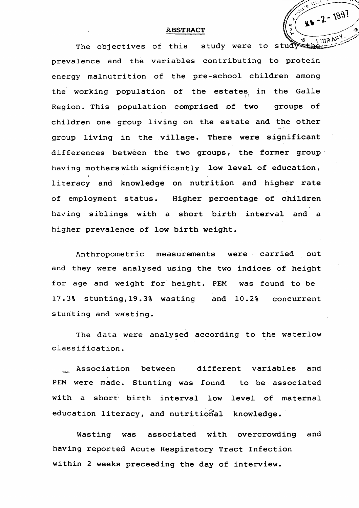## Allie Viet U)  $\frac{1}{\sqrt{2}}$ **ABSTRACT**<br>The objectives of this study were to study prevalence and the variables contributing to protein energy malnutrition of the pre-school children among the working population of the estates in the Galle Region. This population comprised of two groups of children one group living on the estate and the other

group living in the village. There were significant differences between the two groups, the former group having mothers with significantly low level of education, *0* literacy and knowledge on nutrition and higher rate of employment status. Higher percentage of children having siblings with a short birth interval and a higher prevalence of low birth weight.

\_\_ Association between different variables and PEM were made. Stunting was found to be associated with a short birth interval low level of maternal

## education literacy, and nutritional knowledge.

Anthropometric measurements were carried out and they were analysed using the two indices of height

for age and weight for height. PEM was found to be 17.3% stunting,19.3% wasting and 10.2% concurrent stunting and wasting.

The data were analysed according to the waterlow classification.

Wasting was associated with overcrowding and

having reported Acute Respiratory Tract Infection

within 2 weeks preceeding the day of interview.